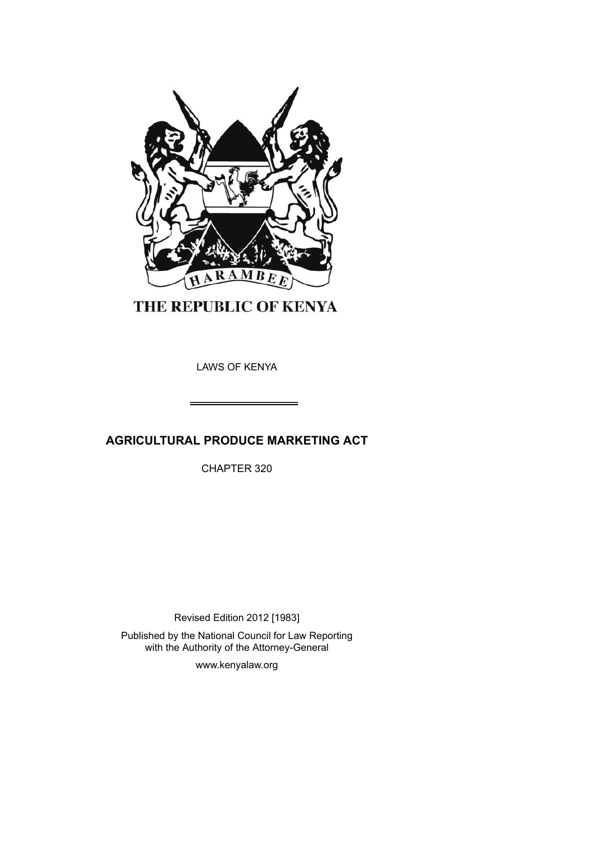

THE REPUBLIC OF KENYA

LAWS OF KENYA

# **AGRICULTURAL PRODUCE MARKETING ACT**

CHAPTER 320

Revised Edition 2012 [1983] Published by the National Council for Law Reporting with the Authority of the Attorney-General

www.kenyalaw.org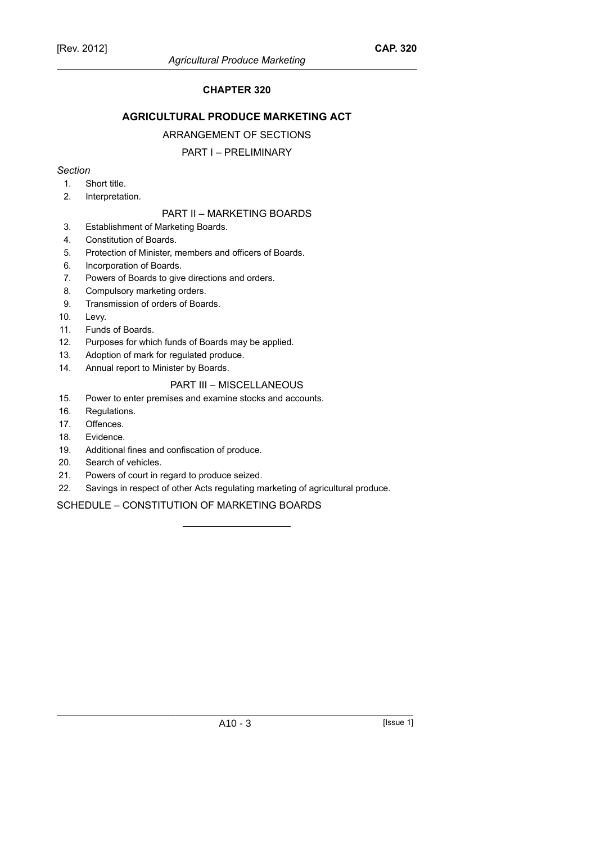## **CHAPTER 320**

## **AGRICULTURAL PRODUCE MARKETING ACT**

## ARRANGEMENT OF SECTIONS

## PART I – PRELIMINARY

## *Section*

- 1. Short title.
- 2. Interpretation.

## PART II – MARKETING BOARDS

- 3. Establishment of Marketing Boards.
- 4. Constitution of Boards.
- 5. Protection of Minister, members and officers of Boards.
- 6. Incorporation of Boards.
- 7. Powers of Boards to give directions and orders.
- 8. Compulsory marketing orders.
- 9. Transmission of orders of Boards.
- 10. Levy.
- 11. Funds of Boards.
- 12. Purposes for which funds of Boards may be applied.
- 13. Adoption of mark for regulated produce.
- 14. Annual report to Minister by Boards.

## PART III – MISCELLANEOUS

- 15. Power to enter premises and examine stocks and accounts.
- 16. Regulations.
- 17. Offences.
- 18. Evidence.
- 19. Additional fines and confiscation of produce.
- 20. Search of vehicles.
- 21. Powers of court in regard to produce seized.
- 22. Savings in respect of other Acts regulating marketing of agricultural produce.

SCHEDULE – CONSTITUTION OF MARKETING BOARDS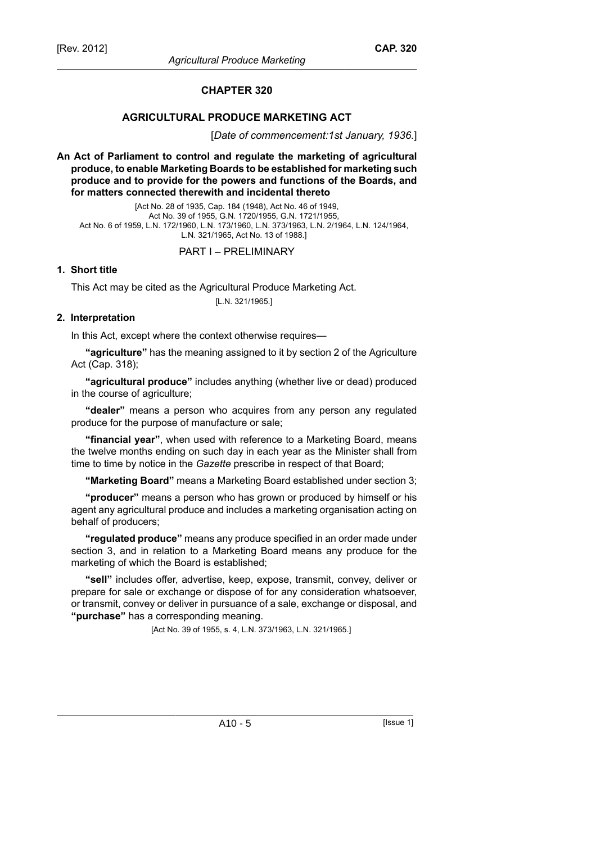## **CHAPTER 320**

## **AGRICULTURAL PRODUCE MARKETING ACT**

[*Date of commencement:1st January, 1936.*]

**An Act of Parliament to control and regulate the marketing of agricultural produce, to enable Marketing Boards to be established for marketing such produce and to provide for the powers and functions of the Boards, and for matters connected therewith and incidental thereto**

[Act No. 28 of 1935, Cap. 184 (1948), Act No. 46 of 1949, Act No. 39 of 1955, G.N. 1720/1955, G.N. 1721/1955, Act No. 6 of 1959, L.N. 172/1960, L.N. 173/1960, L.N. 373/1963, L.N. 2/1964, L.N. 124/1964, L.N. 321/1965, Act No. 13 of 1988.]

#### PART I – PRELIMINARY

#### **1. Short title**

This Act may be cited as the Agricultural Produce Marketing Act. [L.N. 321/1965.]

#### **2. Interpretation**

In this Act, except where the context otherwise requires—

**"agriculture"** has the meaning assigned to it by section 2 of the Agriculture Act (Cap. 318);

**"agricultural produce"** includes anything (whether live or dead) produced in the course of agriculture;

**"dealer"** means a person who acquires from any person any regulated produce for the purpose of manufacture or sale;

**"financial year"**, when used with reference to a Marketing Board, means the twelve months ending on such day in each year as the Minister shall from time to time by notice in the *Gazette* prescribe in respect of that Board;

**"Marketing Board"** means a Marketing Board established under section 3;

**"producer"** means a person who has grown or produced by himself or his agent any agricultural produce and includes a marketing organisation acting on behalf of producers;

**"regulated produce"** means any produce specified in an order made under section 3, and in relation to a Marketing Board means any produce for the marketing of which the Board is established;

**"sell"** includes offer, advertise, keep, expose, transmit, convey, deliver or prepare for sale or exchange or dispose of for any consideration whatsoever, or transmit, convey or deliver in pursuance of a sale, exchange or disposal, and **"purchase"** has a corresponding meaning.

[Act No. 39 of 1955, s. 4, L.N. 373/1963, L.N. 321/1965.]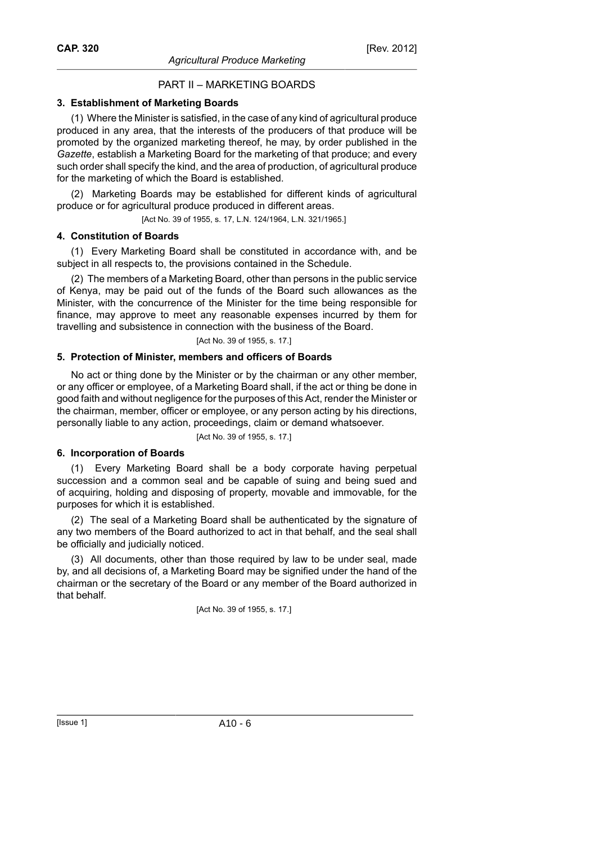## PART II – MARKETING BOARDS

## **3. Establishment of Marketing Boards**

(1) Where the Minister is satisfied, in the case of any kind of agricultural produce produced in any area, that the interests of the producers of that produce will be promoted by the organized marketing thereof, he may, by order published in the *Gazette*, establish a Marketing Board for the marketing of that produce; and every such order shall specify the kind, and the area of production, of agricultural produce for the marketing of which the Board is established.

(2) Marketing Boards may be established for different kinds of agricultural produce or for agricultural produce produced in different areas.

[Act No. 39 of 1955, s. 17, L.N. 124/1964, L.N. 321/1965.]

## **4. Constitution of Boards**

(1) Every Marketing Board shall be constituted in accordance with, and be subject in all respects to, the provisions contained in the Schedule.

(2) The members of a Marketing Board, other than persons in the public service of Kenya, may be paid out of the funds of the Board such allowances as the Minister, with the concurrence of the Minister for the time being responsible for finance, may approve to meet any reasonable expenses incurred by them for travelling and subsistence in connection with the business of the Board.

[Act No. 39 of 1955, s. 17.]

## **5. Protection of Minister, members and officers of Boards**

No act or thing done by the Minister or by the chairman or any other member, or any officer or employee, of a Marketing Board shall, if the act or thing be done in good faith and without negligence for the purposes of this Act, render the Minister or the chairman, member, officer or employee, or any person acting by his directions, personally liable to any action, proceedings, claim or demand whatsoever.

[Act No. 39 of 1955, s. 17.]

#### **6. Incorporation of Boards**

(1) Every Marketing Board shall be a body corporate having perpetual succession and a common seal and be capable of suing and being sued and of acquiring, holding and disposing of property, movable and immovable, for the purposes for which it is established.

(2) The seal of a Marketing Board shall be authenticated by the signature of any two members of the Board authorized to act in that behalf, and the seal shall be officially and judicially noticed.

(3) All documents, other than those required by law to be under seal, made by, and all decisions of, a Marketing Board may be signified under the hand of the chairman or the secretary of the Board or any member of the Board authorized in that behalf.

[Act No. 39 of 1955, s. 17.]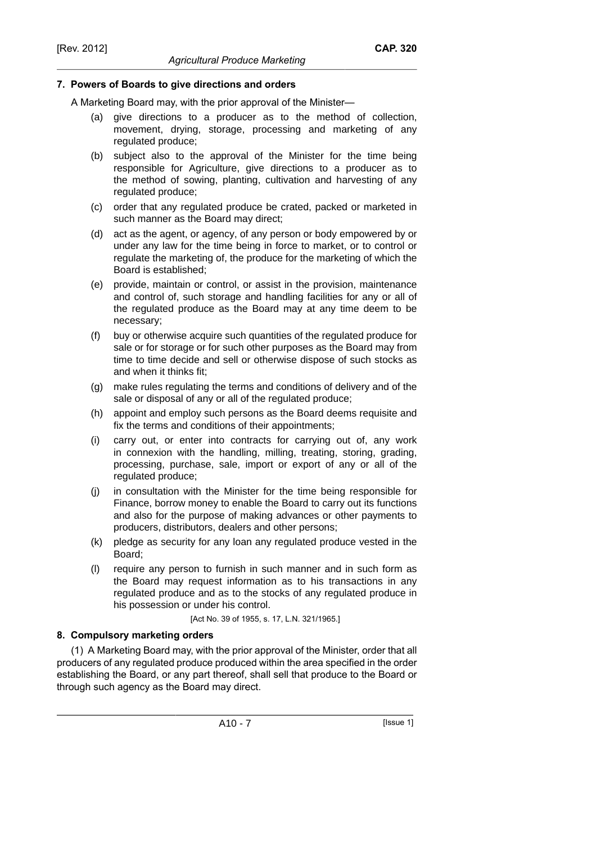## **7. Powers of Boards to give directions and orders**

A Marketing Board may, with the prior approval of the Minister—

(a) give directions to a producer as to the method of collection, movement, drying, storage, processing and marketing of any regulated produce;

*Agricultural Produce Marketing*

- (b) subject also to the approval of the Minister for the time being responsible for Agriculture, give directions to a producer as to the method of sowing, planting, cultivation and harvesting of any regulated produce;
- (c) order that any regulated produce be crated, packed or marketed in such manner as the Board may direct;
- (d) act as the agent, or agency, of any person or body empowered by or under any law for the time being in force to market, or to control or regulate the marketing of, the produce for the marketing of which the Board is established;
- (e) provide, maintain or control, or assist in the provision, maintenance and control of, such storage and handling facilities for any or all of the regulated produce as the Board may at any time deem to be necessary;
- (f) buy or otherwise acquire such quantities of the regulated produce for sale or for storage or for such other purposes as the Board may from time to time decide and sell or otherwise dispose of such stocks as and when it thinks fit;
- (g) make rules regulating the terms and conditions of delivery and of the sale or disposal of any or all of the regulated produce;
- (h) appoint and employ such persons as the Board deems requisite and fix the terms and conditions of their appointments;
- (i) carry out, or enter into contracts for carrying out of, any work in connexion with the handling, milling, treating, storing, grading, processing, purchase, sale, import or export of any or all of the regulated produce;
- (j) in consultation with the Minister for the time being responsible for Finance, borrow money to enable the Board to carry out its functions and also for the purpose of making advances or other payments to producers, distributors, dealers and other persons;
- (k) pledge as security for any loan any regulated produce vested in the Board;
- (l) require any person to furnish in such manner and in such form as the Board may request information as to his transactions in any regulated produce and as to the stocks of any regulated produce in his possession or under his control.

[Act No. 39 of 1955, s. 17, L.N. 321/1965.]

## **8. Compulsory marketing orders**

(1) A Marketing Board may, with the prior approval of the Minister, order that all producers of any regulated produce produced within the area specified in the order establishing the Board, or any part thereof, shall sell that produce to the Board or through such agency as the Board may direct.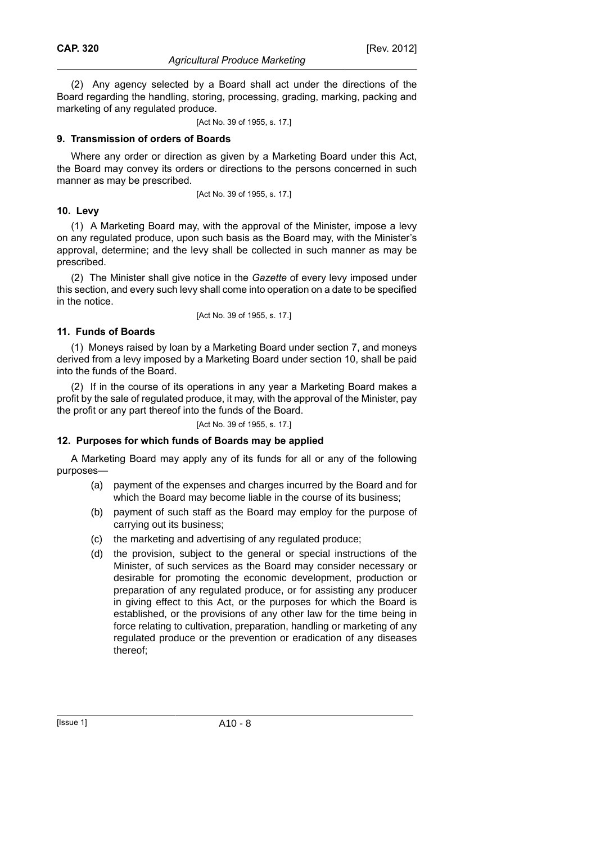(2) Any agency selected by a Board shall act under the directions of the Board regarding the handling, storing, processing, grading, marking, packing and marketing of any regulated produce.

[Act No. 39 of 1955, s. 17.]

## **9. Transmission of orders of Boards**

Where any order or direction as given by a Marketing Board under this Act, the Board may convey its orders or directions to the persons concerned in such manner as may be prescribed.

[Act No. 39 of 1955, s. 17.]

## **10. Levy**

(1) A Marketing Board may, with the approval of the Minister, impose a levy on any regulated produce, upon such basis as the Board may, with the Minister's approval, determine; and the levy shall be collected in such manner as may be prescribed.

(2) The Minister shall give notice in the *Gazette* of every levy imposed under this section, and every such levy shall come into operation on a date to be specified in the notice.

[Act No. 39 of 1955, s. 17.]

## **11. Funds of Boards**

(1) Moneys raised by loan by a Marketing Board under section 7, and moneys derived from a levy imposed by a Marketing Board under section 10, shall be paid into the funds of the Board.

(2) If in the course of its operations in any year a Marketing Board makes a profit by the sale of regulated produce, it may, with the approval of the Minister, pay the profit or any part thereof into the funds of the Board.

[Act No. 39 of 1955, s. 17.]

## **12. Purposes for which funds of Boards may be applied**

A Marketing Board may apply any of its funds for all or any of the following purposes—

- (a) payment of the expenses and charges incurred by the Board and for which the Board may become liable in the course of its business;
- (b) payment of such staff as the Board may employ for the purpose of carrying out its business;
- (c) the marketing and advertising of any regulated produce;
- (d) the provision, subject to the general or special instructions of the Minister, of such services as the Board may consider necessary or desirable for promoting the economic development, production or preparation of any regulated produce, or for assisting any producer in giving effect to this Act, or the purposes for which the Board is established, or the provisions of any other law for the time being in force relating to cultivation, preparation, handling or marketing of any regulated produce or the prevention or eradication of any diseases thereof;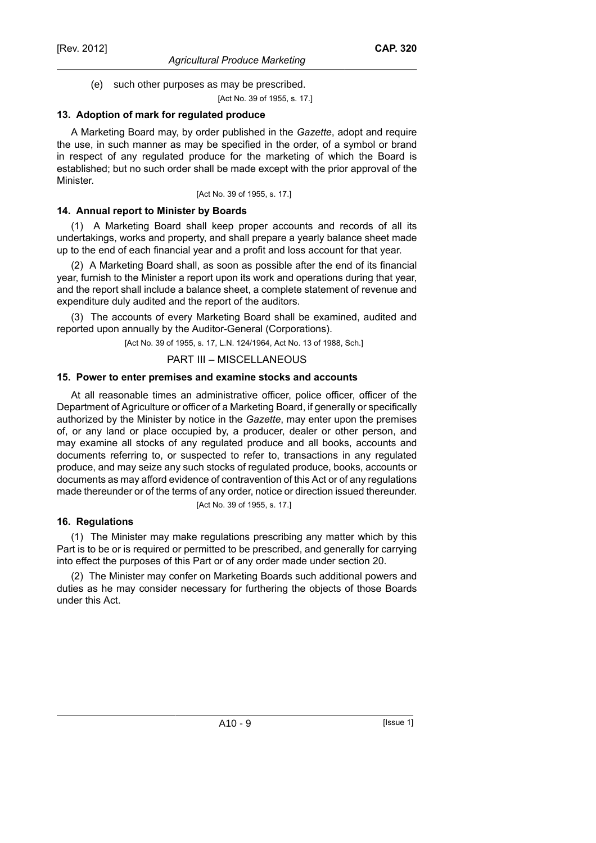(e) such other purposes as may be prescribed.

[Act No. 39 of 1955, s. 17.]

## **13. Adoption of mark for regulated produce**

A Marketing Board may, by order published in the *Gazette*, adopt and require the use, in such manner as may be specified in the order, of a symbol or brand in respect of any regulated produce for the marketing of which the Board is established; but no such order shall be made except with the prior approval of the Minister.

[Act No. 39 of 1955, s. 17.]

## **14. Annual report to Minister by Boards**

(1) A Marketing Board shall keep proper accounts and records of all its undertakings, works and property, and shall prepare a yearly balance sheet made up to the end of each financial year and a profit and loss account for that year.

(2) A Marketing Board shall, as soon as possible after the end of its financial year, furnish to the Minister a report upon its work and operations during that year, and the report shall include a balance sheet, a complete statement of revenue and expenditure duly audited and the report of the auditors.

(3) The accounts of every Marketing Board shall be examined, audited and reported upon annually by the Auditor-General (Corporations).

[Act No. 39 of 1955, s. 17, L.N. 124/1964, Act No. 13 of 1988, Sch.]

## PART III – MISCELLANEOUS

## **15. Power to enter premises and examine stocks and accounts**

At all reasonable times an administrative officer, police officer, officer of the Department of Agriculture or officer of a Marketing Board, if generally or specifically authorized by the Minister by notice in the *Gazette*, may enter upon the premises of, or any land or place occupied by, a producer, dealer or other person, and may examine all stocks of any regulated produce and all books, accounts and documents referring to, or suspected to refer to, transactions in any regulated produce, and may seize any such stocks of regulated produce, books, accounts or documents as may afford evidence of contravention of this Act or of any regulations made thereunder or of the terms of any order, notice or direction issued thereunder.

[Act No. 39 of 1955, s. 17.]

## **16. Regulations**

(1) The Minister may make regulations prescribing any matter which by this Part is to be or is required or permitted to be prescribed, and generally for carrying into effect the purposes of this Part or of any order made under section 20.

(2) The Minister may confer on Marketing Boards such additional powers and duties as he may consider necessary for furthering the objects of those Boards under this Act.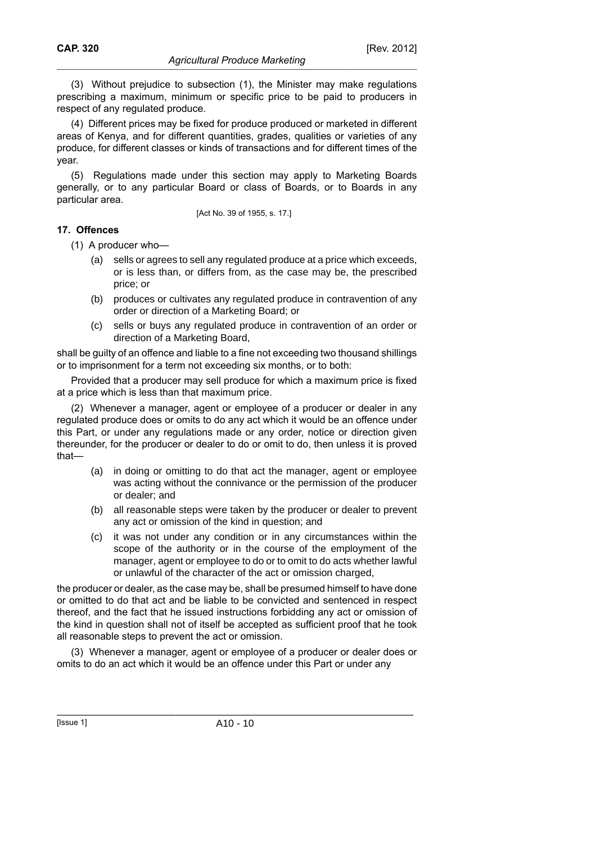(3) Without prejudice to subsection (1), the Minister may make regulations prescribing a maximum, minimum or specific price to be paid to producers in respect of any regulated produce.

(4) Different prices may be fixed for produce produced or marketed in different areas of Kenya, and for different quantities, grades, qualities or varieties of any produce, for different classes or kinds of transactions and for different times of the year.

(5) Regulations made under this section may apply to Marketing Boards generally, or to any particular Board or class of Boards, or to Boards in any particular area.

[Act No. 39 of 1955, s. 17.]

## **17. Offences**

(1) A producer who—

- (a) sells or agrees to sell any regulated produce at a price which exceeds, or is less than, or differs from, as the case may be, the prescribed price; or
- (b) produces or cultivates any regulated produce in contravention of any order or direction of a Marketing Board; or
- (c) sells or buys any regulated produce in contravention of an order or direction of a Marketing Board,

shall be guilty of an offence and liable to a fine not exceeding two thousand shillings or to imprisonment for a term not exceeding six months, or to both:

Provided that a producer may sell produce for which a maximum price is fixed at a price which is less than that maximum price.

(2) Whenever a manager, agent or employee of a producer or dealer in any regulated produce does or omits to do any act which it would be an offence under this Part, or under any regulations made or any order, notice or direction given thereunder, for the producer or dealer to do or omit to do, then unless it is proved that—

- (a) in doing or omitting to do that act the manager, agent or employee was acting without the connivance or the permission of the producer or dealer; and
- (b) all reasonable steps were taken by the producer or dealer to prevent any act or omission of the kind in question; and
- (c) it was not under any condition or in any circumstances within the scope of the authority or in the course of the employment of the manager, agent or employee to do or to omit to do acts whether lawful or unlawful of the character of the act or omission charged,

the producer or dealer, as the case may be, shall be presumed himself to have done or omitted to do that act and be liable to be convicted and sentenced in respect thereof, and the fact that he issued instructions forbidding any act or omission of the kind in question shall not of itself be accepted as sufficient proof that he took all reasonable steps to prevent the act or omission.

(3) Whenever a manager, agent or employee of a producer or dealer does or omits to do an act which it would be an offence under this Part or under any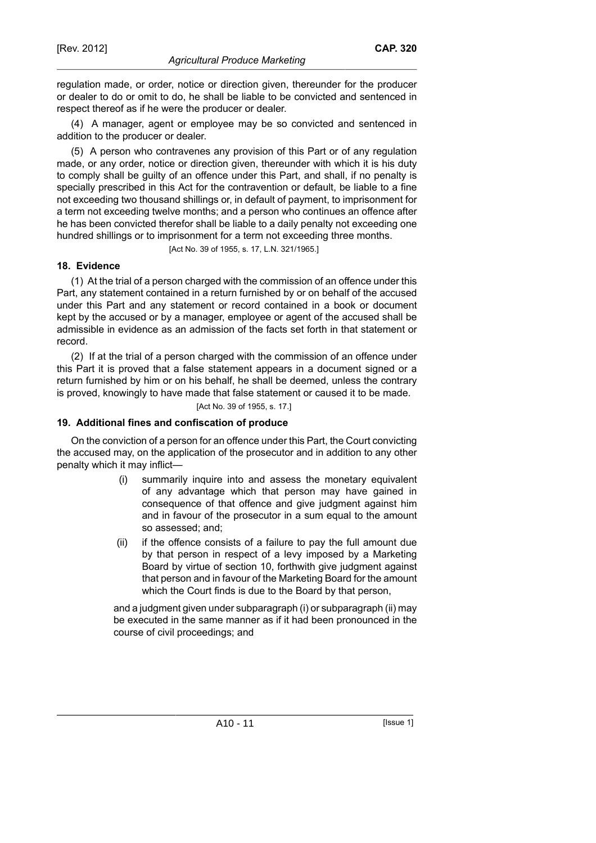regulation made, or order, notice or direction given, thereunder for the producer or dealer to do or omit to do, he shall be liable to be convicted and sentenced in respect thereof as if he were the producer or dealer.

(4) A manager, agent or employee may be so convicted and sentenced in addition to the producer or dealer.

(5) A person who contravenes any provision of this Part or of any regulation made, or any order, notice or direction given, thereunder with which it is his duty to comply shall be guilty of an offence under this Part, and shall, if no penalty is specially prescribed in this Act for the contravention or default, be liable to a fine not exceeding two thousand shillings or, in default of payment, to imprisonment for a term not exceeding twelve months; and a person who continues an offence after he has been convicted therefor shall be liable to a daily penalty not exceeding one hundred shillings or to imprisonment for a term not exceeding three months.

[Act No. 39 of 1955, s. 17, L.N. 321/1965.]

## **18. Evidence**

(1) At the trial of a person charged with the commission of an offence under this Part, any statement contained in a return furnished by or on behalf of the accused under this Part and any statement or record contained in a book or document kept by the accused or by a manager, employee or agent of the accused shall be admissible in evidence as an admission of the facts set forth in that statement or record.

(2) If at the trial of a person charged with the commission of an offence under this Part it is proved that a false statement appears in a document signed or a return furnished by him or on his behalf, he shall be deemed, unless the contrary is proved, knowingly to have made that false statement or caused it to be made.

[Act No. 39 of 1955, s. 17.]

#### **19. Additional fines and confiscation of produce**

On the conviction of a person for an offence under this Part, the Court convicting the accused may, on the application of the prosecutor and in addition to any other penalty which it may inflict—

- (i) summarily inquire into and assess the monetary equivalent of any advantage which that person may have gained in consequence of that offence and give judgment against him and in favour of the prosecutor in a sum equal to the amount so assessed; and;
- (ii) if the offence consists of a failure to pay the full amount due by that person in respect of a levy imposed by a Marketing Board by virtue of section 10, forthwith give judgment against that person and in favour of the Marketing Board for the amount which the Court finds is due to the Board by that person,

and a judgment given under subparagraph (i) or subparagraph (ii) may be executed in the same manner as if it had been pronounced in the course of civil proceedings; and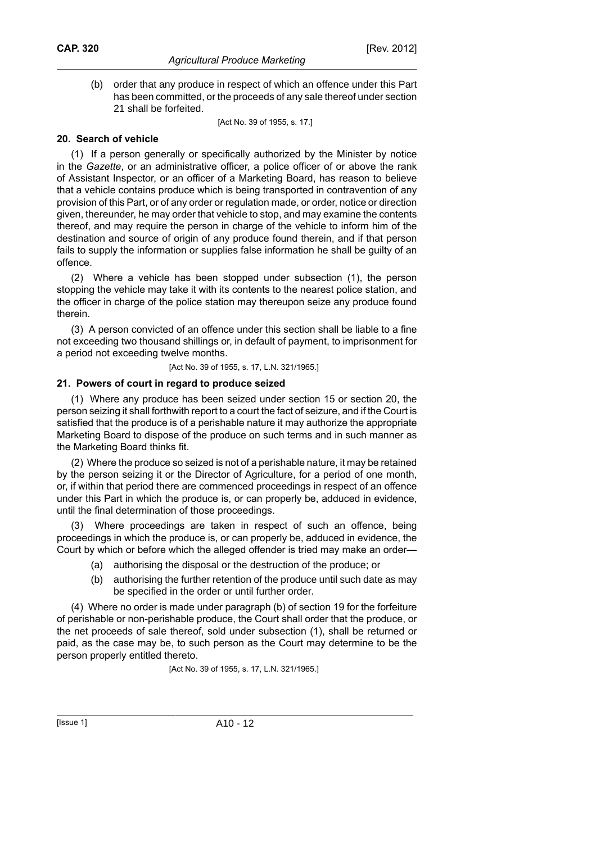(b) order that any produce in respect of which an offence under this Part has been committed, or the proceeds of any sale thereof under section 21 shall be forfeited.

[Act No. 39 of 1955, s. 17.]

## **20. Search of vehicle**

(1) If a person generally or specifically authorized by the Minister by notice in the *Gazette*, or an administrative officer, a police officer of or above the rank of Assistant Inspector, or an officer of a Marketing Board, has reason to believe that a vehicle contains produce which is being transported in contravention of any provision of this Part, or of any order or regulation made, or order, notice or direction given, thereunder, he may order that vehicle to stop, and may examine the contents thereof, and may require the person in charge of the vehicle to inform him of the destination and source of origin of any produce found therein, and if that person fails to supply the information or supplies false information he shall be guilty of an offence.

(2) Where a vehicle has been stopped under subsection (1), the person stopping the vehicle may take it with its contents to the nearest police station, and the officer in charge of the police station may thereupon seize any produce found therein.

(3) A person convicted of an offence under this section shall be liable to a fine not exceeding two thousand shillings or, in default of payment, to imprisonment for a period not exceeding twelve months.

[Act No. 39 of 1955, s. 17, L.N. 321/1965.]

#### **21. Powers of court in regard to produce seized**

(1) Where any produce has been seized under section 15 or section 20, the person seizing it shall forthwith report to a court the fact of seizure, and if the Court is satisfied that the produce is of a perishable nature it may authorize the appropriate Marketing Board to dispose of the produce on such terms and in such manner as the Marketing Board thinks fit.

(2) Where the produce so seized is not of a perishable nature, it may be retained by the person seizing it or the Director of Agriculture, for a period of one month, or, if within that period there are commenced proceedings in respect of an offence under this Part in which the produce is, or can properly be, adduced in evidence, until the final determination of those proceedings.

(3) Where proceedings are taken in respect of such an offence, being proceedings in which the produce is, or can properly be, adduced in evidence, the Court by which or before which the alleged offender is tried may make an order—

- (a) authorising the disposal or the destruction of the produce; or
- (b) authorising the further retention of the produce until such date as may be specified in the order or until further order.

(4) Where no order is made under paragraph (b) of section 19 for the forfeiture of perishable or non-perishable produce, the Court shall order that the produce, or the net proceeds of sale thereof, sold under subsection (1), shall be returned or paid, as the case may be, to such person as the Court may determine to be the person properly entitled thereto.

[Act No. 39 of 1955, s. 17, L.N. 321/1965.]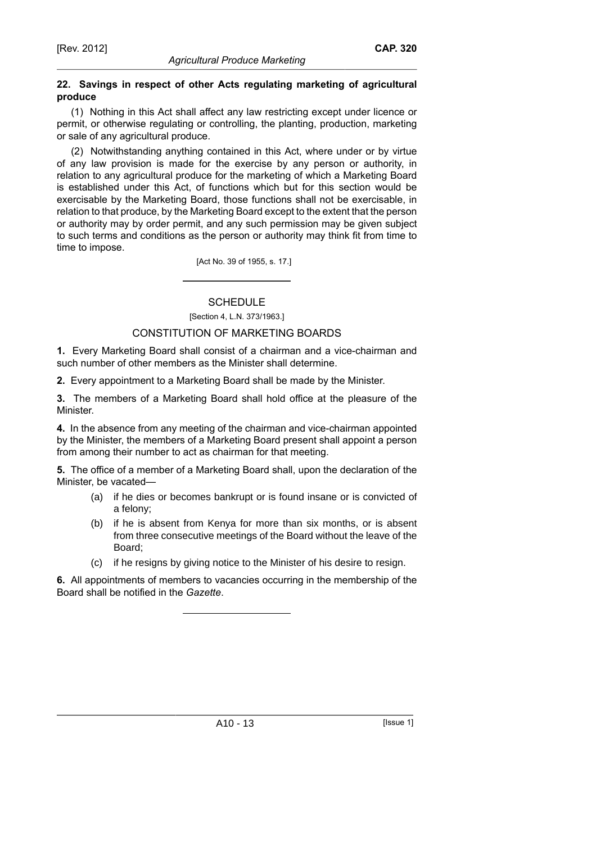## **22. Savings in respect of other Acts regulating marketing of agricultural produce**

(1) Nothing in this Act shall affect any law restricting except under licence or permit, or otherwise regulating or controlling, the planting, production, marketing or sale of any agricultural produce.

(2) Notwithstanding anything contained in this Act, where under or by virtue of any law provision is made for the exercise by any person or authority, in relation to any agricultural produce for the marketing of which a Marketing Board is established under this Act, of functions which but for this section would be exercisable by the Marketing Board, those functions shall not be exercisable, in relation to that produce, by the Marketing Board except to the extent that the person or authority may by order permit, and any such permission may be given subject to such terms and conditions as the person or authority may think fit from time to time to impose.

[Act No. 39 of 1955, s. 17.]

**SCHEDULE** 

[Section 4, L.N. 373/1963.]

## CONSTITUTION OF MARKETING BOARDS

**1.** Every Marketing Board shall consist of a chairman and a vice-chairman and such number of other members as the Minister shall determine.

**2.** Every appointment to a Marketing Board shall be made by the Minister.

**3.** The members of a Marketing Board shall hold office at the pleasure of the Minister.

**4.** In the absence from any meeting of the chairman and vice-chairman appointed by the Minister, the members of a Marketing Board present shall appoint a person from among their number to act as chairman for that meeting.

**5.** The office of a member of a Marketing Board shall, upon the declaration of the Minister, be vacated—

- (a) if he dies or becomes bankrupt or is found insane or is convicted of a felony;
- (b) if he is absent from Kenya for more than six months, or is absent from three consecutive meetings of the Board without the leave of the Board;
- (c) if he resigns by giving notice to the Minister of his desire to resign.

**6.** All appointments of members to vacancies occurring in the membership of the Board shall be notified in the *Gazette*.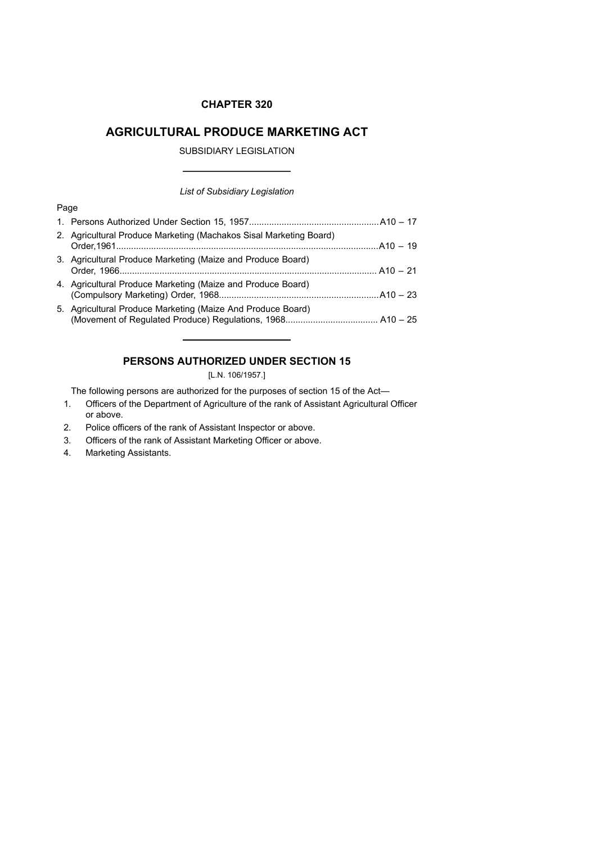#### **CHAPTER 320**

## **AGRICULTURAL PRODUCE MARKETING ACT**

SUBSIDIARY LEGISLATION

#### *List of Subsidiary Legislation*

#### Page

| 2. Agricultural Produce Marketing (Machakos Sisal Marketing Board) |  |
|--------------------------------------------------------------------|--|
| 3. Agricultural Produce Marketing (Maize and Produce Board)        |  |
| 4. Agricultural Produce Marketing (Maize and Produce Board)        |  |
| 5. Agricultural Produce Marketing (Maize And Produce Board)        |  |

## **PERSONS AUTHORIZED UNDER SECTION 15**

## [L.N. 106/1957.]

The following persons are authorized for the purposes of section 15 of the Act—

- 1. Officers of the Department of Agriculture of the rank of Assistant Agricultural Officer or above.
- 2. Police officers of the rank of Assistant Inspector or above.
- 3. Officers of the rank of Assistant Marketing Officer or above.
- 4. Marketing Assistants.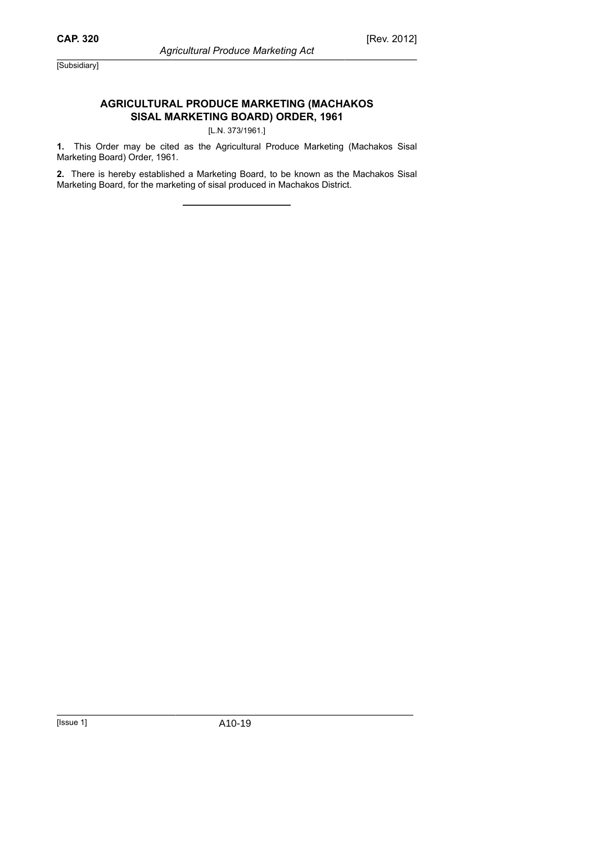## **AGRICULTURAL PRODUCE MARKETING (MACHAKOS SISAL MARKETING BOARD) ORDER, 1961**

## [L.N. 373/1961.]

**1.** This Order may be cited as the Agricultural Produce Marketing (Machakos Sisal Marketing Board) Order, 1961.

**2.** There is hereby established a Marketing Board, to be known as the Machakos Sisal Marketing Board, for the marketing of sisal produced in Machakos District.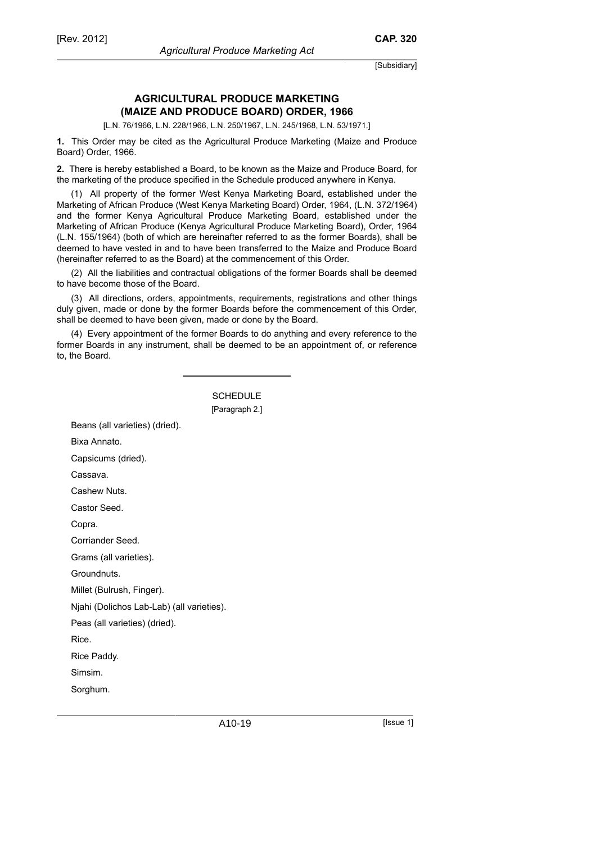## **AGRICULTURAL PRODUCE MARKETING (MAIZE AND PRODUCE BOARD) ORDER, 1966**

[L.N. 76/1966, L.N. 228/1966, L.N. 250/1967, L.N. 245/1968, L.N. 53/1971.]

**1.** This Order may be cited as the Agricultural Produce Marketing (Maize and Produce Board) Order, 1966.

**2.** There is hereby established a Board, to be known as the Maize and Produce Board, for the marketing of the produce specified in the Schedule produced anywhere in Kenya.

(1) All property of the former West Kenya Marketing Board, established under the Marketing of African Produce (West Kenya Marketing Board) Order, 1964, (L.N. 372/1964) and the former Kenya Agricultural Produce Marketing Board, established under the Marketing of African Produce (Kenya Agricultural Produce Marketing Board), Order, 1964 (L.N. 155/1964) (both of which are hereinafter referred to as the former Boards), shall be deemed to have vested in and to have been transferred to the Maize and Produce Board (hereinafter referred to as the Board) at the commencement of this Order.

(2) All the liabilities and contractual obligations of the former Boards shall be deemed to have become those of the Board.

(3) All directions, orders, appointments, requirements, registrations and other things duly given, made or done by the former Boards before the commencement of this Order, shall be deemed to have been given, made or done by the Board.

(4) Every appointment of the former Boards to do anything and every reference to the former Boards in any instrument, shall be deemed to be an appointment of, or reference to, the Board.

> **SCHEDULE** [Paragraph 2.]

Beans (all varieties) (dried).

Bixa Annato.

Capsicums (dried).

Cassava.

Cashew Nuts.

Castor Seed.

Copra.

Corriander Seed.

Grams (all varieties).

Groundnuts.

Millet (Bulrush, Finger).

Njahi (Dolichos Lab-Lab) (all varieties).

Peas (all varieties) (dried).

Rice.

Rice Paddy.

Simsim.

Sorghum.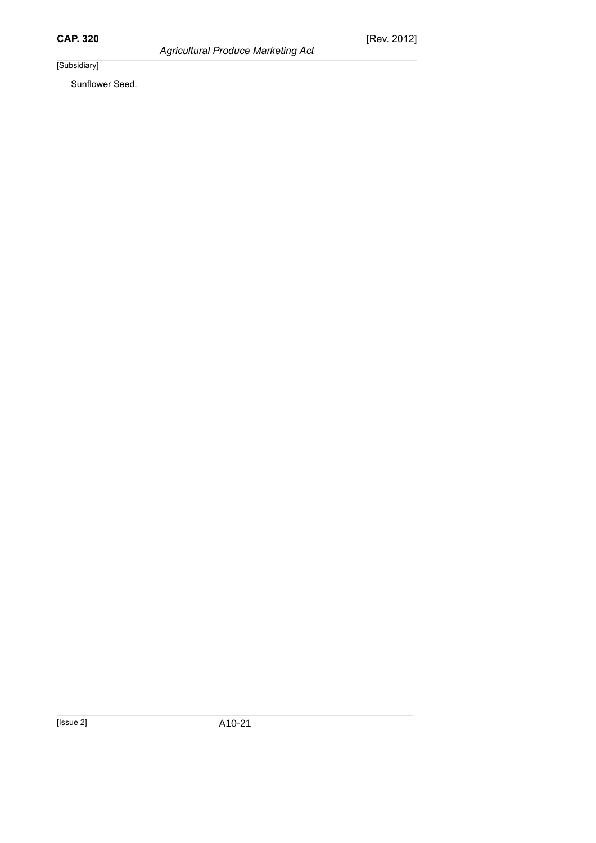*Agricultural Produce Marketing Act*

[Subsidiary]

Sunflower Seed.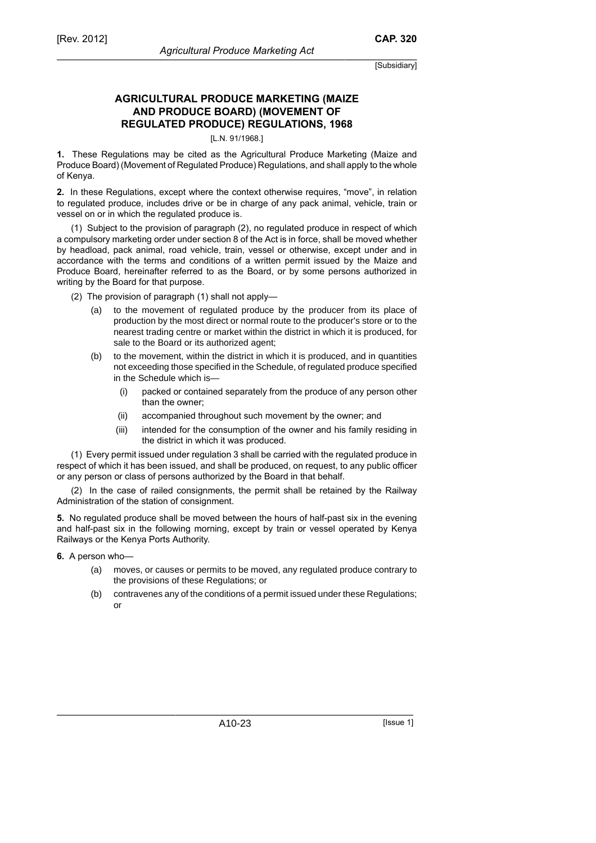## **AGRICULTURAL PRODUCE MARKETING (MAIZE AND PRODUCE BOARD) (MOVEMENT OF REGULATED PRODUCE) REGULATIONS, 1968**

#### [L.N. 91/1968.]

**1.** These Regulations may be cited as the Agricultural Produce Marketing (Maize and Produce Board) (Movement of Regulated Produce) Regulations, and shall apply to the whole of Kenya.

**2.** In these Regulations, except where the context otherwise requires, "move", in relation to regulated produce, includes drive or be in charge of any pack animal, vehicle, train or vessel on or in which the regulated produce is.

(1) Subject to the provision of paragraph (2), no regulated produce in respect of which a compulsory marketing order under section 8 of the Act is in force, shall be moved whether by headload, pack animal, road vehicle, train, vessel or otherwise, except under and in accordance with the terms and conditions of a written permit issued by the Maize and Produce Board, hereinafter referred to as the Board, or by some persons authorized in writing by the Board for that purpose.

(2) The provision of paragraph (1) shall not apply—

- (a) to the movement of regulated produce by the producer from its place of production by the most direct or normal route to the producer's store or to the nearest trading centre or market within the district in which it is produced, for sale to the Board or its authorized agent;
- (b) to the movement, within the district in which it is produced, and in quantities not exceeding those specified in the Schedule, of regulated produce specified in the Schedule which is—
	- (i) packed or contained separately from the produce of any person other than the owner;
	- (ii) accompanied throughout such movement by the owner; and
	- (iii) intended for the consumption of the owner and his family residing in the district in which it was produced.

(1) Every permit issued under regulation 3 shall be carried with the regulated produce in respect of which it has been issued, and shall be produced, on request, to any public officer or any person or class of persons authorized by the Board in that behalf.

(2) In the case of railed consignments, the permit shall be retained by the Railway Administration of the station of consignment.

**5.** No regulated produce shall be moved between the hours of half-past six in the evening and half-past six in the following morning, except by train or vessel operated by Kenya Railways or the Kenya Ports Authority.

**6.** A person who—

- (a) moves, or causes or permits to be moved, any regulated produce contrary to the provisions of these Regulations; or
- (b) contravenes any of the conditions of a permit issued under these Regulations; or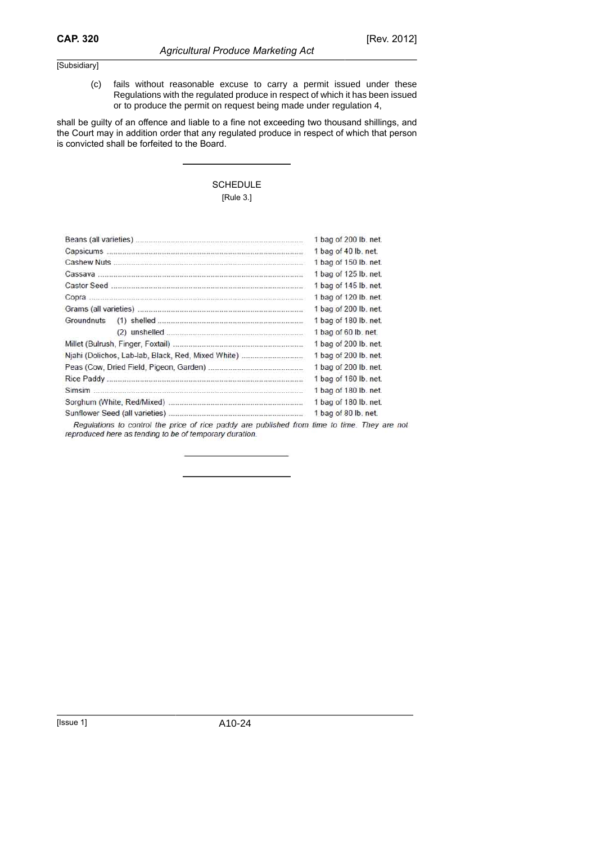(c) fails without reasonable excuse to carry a permit issued under these Regulations with the regulated produce in respect of which it has been issued or to produce the permit on request being made under regulation 4,

shall be guilty of an offence and liable to a fine not exceeding two thousand shillings, and the Court may in addition order that any regulated produce in respect of which that person is convicted shall be forfeited to the Board.

## SCHEDULE [Rule 3.]

|            |                                                                                             | 1 bag of 200 lb. net. |
|------------|---------------------------------------------------------------------------------------------|-----------------------|
|            |                                                                                             | 1 bag of 40 lb. net.  |
|            |                                                                                             | 1 bag of 150 lb. net. |
|            |                                                                                             | 1 bag of 125 lb. net. |
|            |                                                                                             | 1 bag of 145 lb. net. |
|            |                                                                                             | 1 bag of 120 lb. net. |
|            |                                                                                             | 1 bag of 200 lb. net. |
| Groundnuts |                                                                                             | 1 bag of 180 lb. net. |
|            |                                                                                             | 1 bag of 60 lb. net.  |
|            |                                                                                             | 1 bag of 200 lb. net. |
|            | Njahi (Dolichos, Lab-lab, Black, Red, Mixed White)                                          | 1 bag of 200 lb. net. |
|            |                                                                                             | 1 bag of 200 lb. net. |
|            |                                                                                             | 1 bag of 160 lb. net. |
|            |                                                                                             | 1 bag of 180 lb. net. |
|            |                                                                                             | 1 bag of 180 lb. net. |
|            |                                                                                             | 1 bag of 80 lb. net.  |
|            | Requisitions to control the price of rice paddy are published from time to time. They are n |                       |

not reproduced here as tending to be of temporary duration.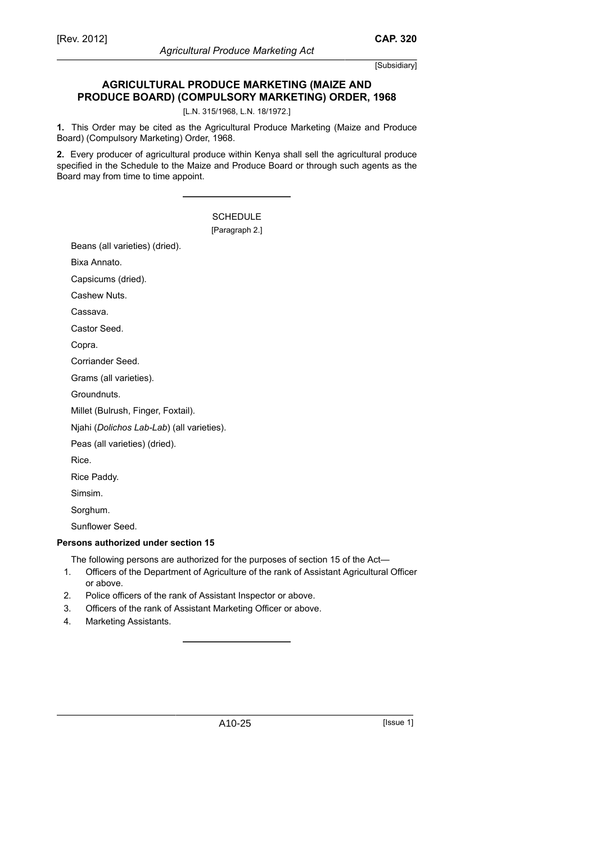**CAP. 320**

## **AGRICULTURAL PRODUCE MARKETING (MAIZE AND PRODUCE BOARD) (COMPULSORY MARKETING) ORDER, 1968**

[L.N. 315/1968, L.N. 18/1972.]

**1.** This Order may be cited as the Agricultural Produce Marketing (Maize and Produce Board) (Compulsory Marketing) Order, 1968.

**2.** Every producer of agricultural produce within Kenya shall sell the agricultural produce specified in the Schedule to the Maize and Produce Board or through such agents as the Board may from time to time appoint.

|                                                                    | <b>SCHEDULE</b><br>[Paragraph 2.] |  |  |  |
|--------------------------------------------------------------------|-----------------------------------|--|--|--|
| Beans (all varieties) (dried).                                     |                                   |  |  |  |
| Bixa Annato.                                                       |                                   |  |  |  |
| Capsicums (dried).                                                 |                                   |  |  |  |
| Cashew Nuts.                                                       |                                   |  |  |  |
| Cassava.                                                           |                                   |  |  |  |
| Castor Seed.                                                       |                                   |  |  |  |
| Copra.                                                             |                                   |  |  |  |
| Corriander Seed.                                                   |                                   |  |  |  |
| Grams (all varieties).                                             |                                   |  |  |  |
| Groundnuts.                                                        |                                   |  |  |  |
| Millet (Bulrush, Finger, Foxtail).                                 |                                   |  |  |  |
| Njahi (Dolichos Lab-Lab) (all varieties).                          |                                   |  |  |  |
| Peas (all varieties) (dried).                                      |                                   |  |  |  |
| Rice.                                                              |                                   |  |  |  |
| Rice Paddy.                                                        |                                   |  |  |  |
| Simsim.                                                            |                                   |  |  |  |
| Sorghum.                                                           |                                   |  |  |  |
| Sunflower Seed.                                                    |                                   |  |  |  |
| rsons authorized under section 15                                  |                                   |  |  |  |
| The following persons are authorized for the purposes of section 1 |                                   |  |  |  |

# **Pers**

The following persons are authorized for the purposes of section 15 of the Act—

- 1. Officers of the Department of Agriculture of the rank of Assistant Agricultural Officer or above.
- 2. Police officers of the rank of Assistant Inspector or above.
- 3. Officers of the rank of Assistant Marketing Officer or above.
- 4. Marketing Assistants.